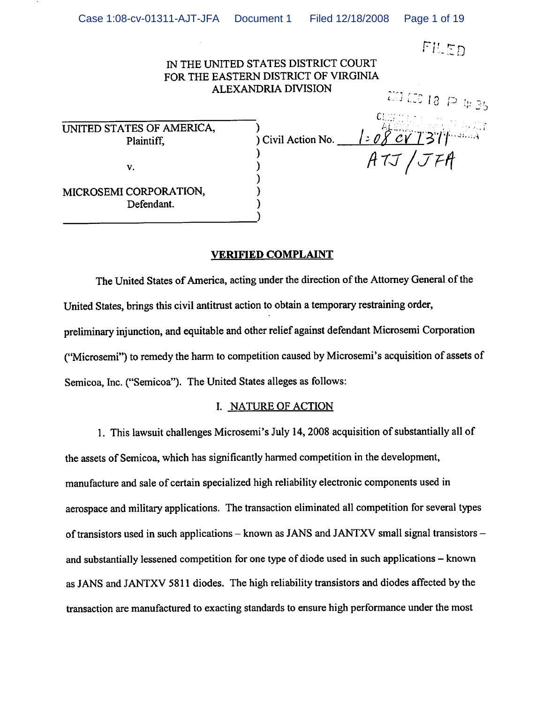|                                         | IN THE UNITED STATES DISTRICT COURT<br>FOR THE EASTERN DISTRICT OF VIRGINIA |                       |
|-----------------------------------------|-----------------------------------------------------------------------------|-----------------------|
|                                         | <b>ALEXANDRIA DIVISION</b>                                                  | 200 000 18 $\wp$ 4 35 |
| UNITED STATES OF AMERICA,<br>Plaintiff, | ) Civil Action No.                                                          |                       |
| v.                                      |                                                                             | ATJ/JFA               |
| MICROSEMI CORPORATION,<br>Defendant.    |                                                                             |                       |

# VERIFIED COMPLAINT

The United States of America, acting under the direction of the Attorney General of the United States, brings this civil antitrust action to obtain a temporary restraining order, preliminary injunction, and equitable and other relief against defendant Microsemi Corporation ("Microsemi") to remedy the harm to competition caused by Microsemi's acquisition of assets of Semicoa, Inc. ("Semicoa"). The United States alleges as follows:

## I. NATURE OF ACTION

1. This lawsuit challenges Microsemi's July 14,2008 acquisition of substantially all of the assets of Semicoa, which has significantly harmed competition in the development, manufacture and sale of certain specialized high reliability electronic components used in aerospace and military applications. The transaction eliminated all competition for several types of transistors used in such applications – known as JANS and JANTXV small signal transistors – and substantially lessened competition for one type of diode used in such applications - known as JANS and JANTXV 5811 diodes. The high reliability transistors and diodes affected by the transaction are manufactured to exacting standards to ensure high performance under the most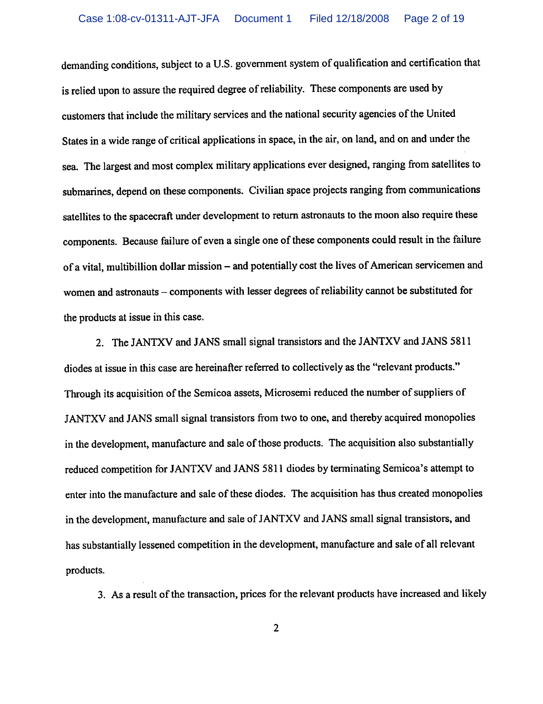demanding conditions, subject to a U.S. government system of qualification and certification that is relied upon to assure the required degree of reliability. These components are used by customers that include the military services and the national security agencies of the United States in a wide range of critical applications in space, in the air, on land, and on and under the sea. The largest and most complex military applications ever designed, ranging from satellites to submarines, depend on these components. Civilian space projects ranging from communications satellites to the spacecraft under development to return astronauts to the moon also require these components. Because failure of even a single one of these components could result in the failure of a vital, multibillion dollar mission – and potentially cost the lives of American servicemen and women and astronauts – components with lesser degrees of reliability cannot be substituted for the products at issue in this case.

2. The JANTXV and JANS small signal transistors and the JANTXV and JANS 5811 diodes at issue in this case are hereinafter referred to collectively as the "relevant products." Through its acquisition of the Semicoa assets, Microsemi reduced the number of suppliers of JANTXV and JANS small signal transistors from two to one, and thereby acquired monopolies in the development, manufacture and sale of those products. The acquisition also substantially reduced competition for JANTXV and JANS 5811 diodes by terminating Semicoa's attempt to enter into the manufacture and sale of these diodes. The acquisition has thus created monopolies in the development, manufacture and sale of JANTXV and JANS small signal transistors, and has substantially lessened competition in the development, manufacture and sale of all relevant products.

3. As a result of the transaction, prices for the relevant products have increased and likely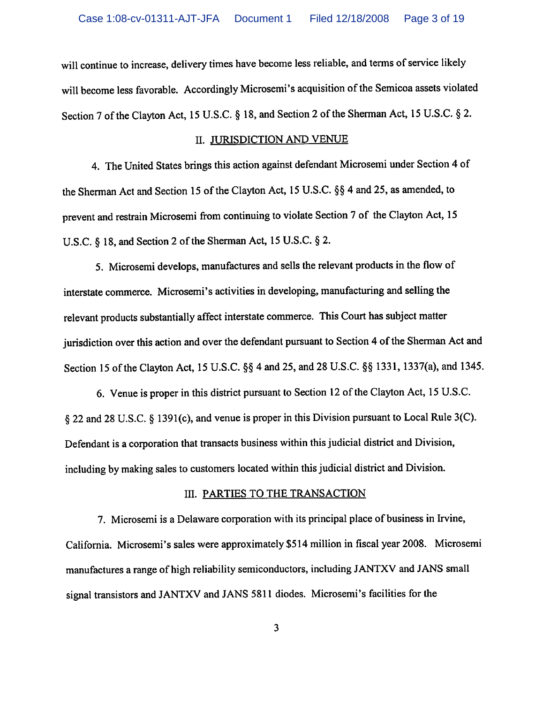will continue to increase, delivery times have become less reliable, and terms of service likely will become less favorable. Accordingly Microsemi's acquisition of the Semicoa assets violated Section 7 of the Clayton Act, 15 U.S.C. § 18, and Section 2 of the Sherman Act, 15 U.S.C. § 2.

#### II. JURISDICTION AND VENUE

4. The United States brings this action against defendant Microsemi under Section 4 of the Sherman Act and Section 15 of the Clayton Act, 15 U.S.C. §§ 4 and 25, as amended, to prevent and restrain Microsemi from continuing to violate Section 7 of the Clayton Act, 15 U.S.C. § 18, and Section 2 of the Sherman Act, 15 U.S.C. § 2.

5. Microsemi develops, manufactures and sells the relevant products in the flow of interstate commerce. Microsemi's activities in developing, manufacturing and selling the relevant products substantially affect interstate commerce. This Court has subject matter jurisdiction over this action and over the defendant pursuant to Section 4 of the Sherman Act and Section 15 of the Clayton Act, 15 U.S.C. §§ 4 and 25, and 28 U.S.C. §§ 1331, 1337(a), and 1345.

6. Venue is proper in this district pursuant to Section 12 of the Clayton Act, 15 U.S.C. § 22 and 28 U.S.C. § 1391(c), and venue is proper in this Division pursuant to Local Rule 3(C). Defendant is a corporation that transacts business within this judicial district and Division, including by making sales to customers located within this judicial district and Division.

# III. PARTIES TO THE TRANSACTION

7. Microsemi is a Delaware corporation with its principal place of business in Irvine, California. Microsemi's sales were approximately \$514 million in fiscal year 2008. Microsemi manufactures a range of high reliability semiconductors, including JANTXV and JANS small signal transistors and JANTXV and JANS 5811 diodes. Microsemi's facilities for the

 $\overline{3}$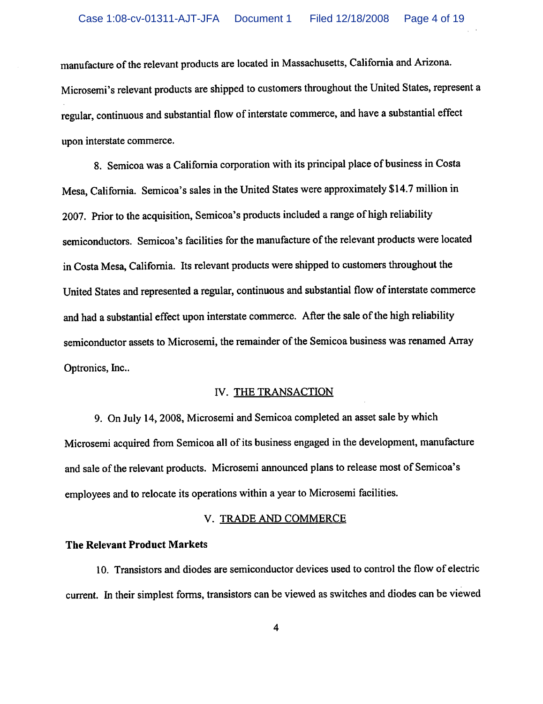manufacture of the relevant products are located in Massachusetts, California and Arizona. Microsemi's relevant products are shipped to customers throughout the United States, represent a regular, continuous and substantial flow of interstate commerce, and have a substantial effect upon interstate commerce.

8. Semicoa was a California corporation with its principal place of business in Costa Mesa, California. Semicoa's sales in the United States were approximately \$14.7 million in 2007. Prior to the acquisition, Semicoa's products included a range of high reliability semiconductors. Semicoa's facilities for the manufacture of the relevant products were located in Costa Mesa, California. Its relevant products were shipped to customers throughout the United States and represented a regular, continuous and substantial flow of interstate commerce and had a substantial effect upon interstate commerce. After the sale of the high reliability semiconductor assets to Microsemi, the remainder of the Semicoa business was renamed Array Optronics, Inc..

## IV. THE TRANSACTION

9. On July 14,2008, Microsemi and Semicoa completed an asset sale by which Microsemi acquired from Semicoa all of its business engaged in the development, manufacture and sale of the relevant products. Microsemi announced plans to release most of Semicoa's employees and to relocate its operations within a year to Microsemi facilities.

## V. TRADE AND COMMERCE

# The Relevant Product Markets

10. Transistors and diodes are semiconductor devices used to control the flow of electric current. In their simplest forms, transistors can be viewed as switches and diodes can be viewed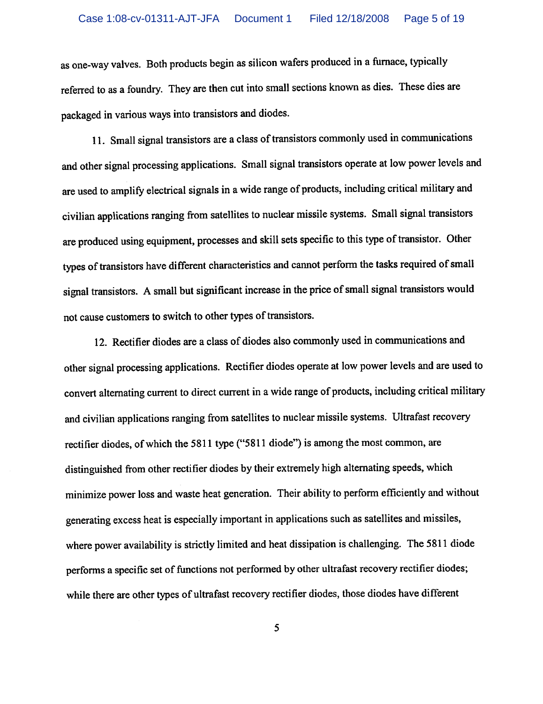as one-way valves. Both products begin as silicon wafers produced in a furnace, typically referred to as a foundry. They are then cut into small sections known as dies. These dies are packaged in various ways into transistors and diodes.

11. Small signal transistors are a class of transistors commonly used in communications and other signal processing applications. Small signal transistors operate at low power levels and are used to amplify electrical signals in a wide range of products, including critical military and civilian applications ranging from satellites to nuclear missile systems. Small signal transistors are produced using equipment, processes and skill sets specific to this type of transistor. Other types of transistors have different characteristics and cannot perform the tasks required of small signal transistors. A small but significant increase in the price of small signal transistors would not cause customers to switch to other types of transistors.

12. Rectifier diodes are a class of diodes also commonly used in communications and other signal processing applications. Rectifier diodes operate at low power levels and are used to convert alternating current to direct current in a wide range of products, including critical military and civilian applications ranging from satellites to nuclear missile systems. Ultrafast recovery rectifier diodes, of which the 5811 type ("5811 diode") is among the most common, are distinguished from other rectifier diodes by their extremely high alternating speeds, which minimize power loss and waste heat generation. Their ability to perform efficiently and without generating excess heat is especially important in applications such as satellites and missiles, where power availability is strictly limited and heat dissipation is challenging. The 5811 diode performs a specific set of functions not performed by other ultrafast recovery rectifier diodes; while there are other types of ultrafast recovery rectifier diodes, those diodes have different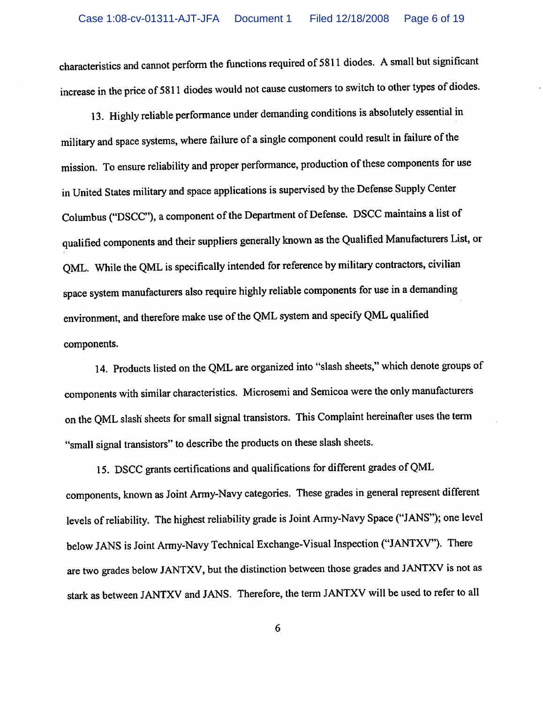characteristics and cannot perform the functions required of 5811 diodes. A small but significant increase in the price of 5811 diodes would not cause customers to switch to other types of diodes.

13. Highly reliable performance under demanding conditions is absolutely essential in military and space systems, where failure of a single component could result in failure of the mission. To ensure reliability and proper performance, production of these components for use in United States military and space applications is supervised by the Defense Supply Center Columbus ("DSCC"), a component of the Department of Defense. DSCC maintains a list of qualified components and their suppliers generally known as the Qualified Manufacturers List, or QML. While the QML is specifically intended for reference by military contractors, civilian space system manufacturers also require highly reliable components for use in a demanding environment, and therefore make use of the QML system and specify QML qualified components.

14. Products listed on the QML are organized into "slash sheets," which denote groups of components with similar characteristics. Microsemi and Semicoa were the only manufacturers on the QML slash sheets for small signal transistors. This Complaint hereinafter uses the term "small signal transistors" to describe the products on these slash sheets.

15. DSCC grants certifications and qualifications for different grades of QML components, known as Joint Army-Navy categories. These grades in general represent different levels of reliability. The highest reliability grade is Joint Army-Navy Space ("JANS"); one level below JANS is Joint Army-Navy Technical Exchange-Visual Inspection ("JANTXV"). There are two grades below JANTXV, but the distinction between those grades and JANTXV is not as stark as between JANTXV and JANS. Therefore, the term JANTXV will be used to refer to all

 $\boldsymbol{6}$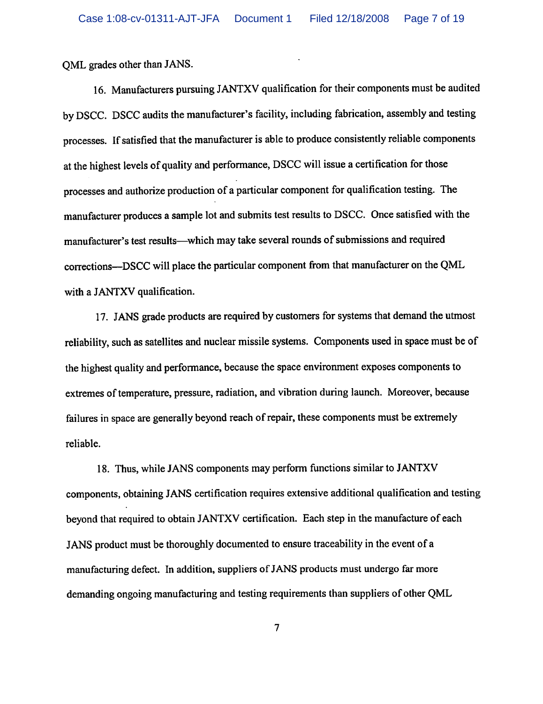QML grades other than JANS.

16. Manufacturers pursuing JANTXV qualification for their components must be audited by DSCC. DSCC audits the manufacturer's facility, including fabrication, assembly and testing processes. If satisfied that the manufacturer is able to produce consistently reliable components at the highest levels of quality and performance, DSCC will issue a certification for those processes and authorize production of a particular component for qualification testing. The manufacturer produces a sample lot and submits test results to DSCC. Once satisfied with the manufacturer's test results—which may take several rounds of submissions and required corrections—DSCC will place the particular component from that manufacturer on the QML with a JANTXV qualification.

17. JANS grade products are required by customers for systems that demand the utmost reliability, such as satellites and nuclear missile systems. Components used in space must be of the highest quality and performance, because the space environment exposes components to extremes of temperature, pressure, radiation, and vibration during launch. Moreover, because failures in space are generally beyond reach of repair, these components must be extremely reliable.

18. Thus, while JANS components may perform functions similar to JANTXV components, obtaining JANS certification requires extensive additional qualification and testing beyond that required to obtain JANTXV certification. Each step in the manufacture of each JANS product must be thoroughly documented to ensure traceability in the event of a manufacturing defect. In addition, suppliers of JANS products must undergo far more demanding ongoing manufacturing and testing requirements than suppliers of other QML

 $\overline{7}$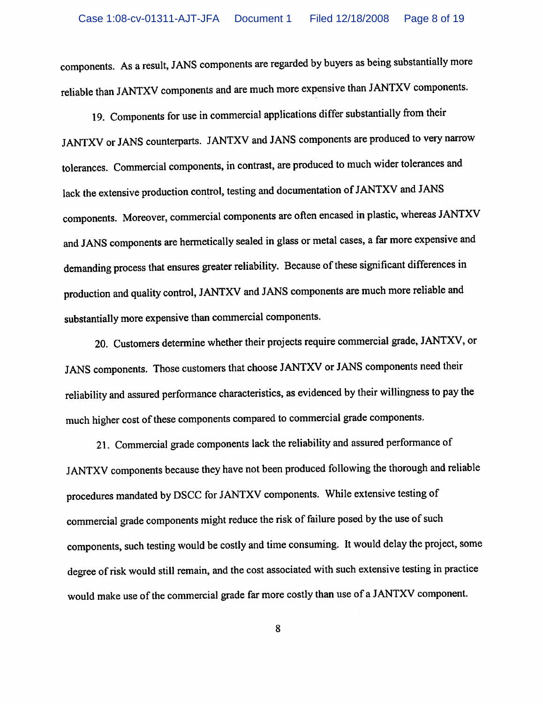components. As a result, JANS components are regarded by buyers as being substantially more reliable than JANTXV components and are much more expensive than JANTXV components.

19. Components for use in commercial applications differ substantially from their JANTXV or JANS counterparts. JANTXV and JANS components are produced to very narrow tolerances. Commercial components, in contrast, are produced to much wider tolerances and lack the extensive production control, testing and documentation of JANTXV and JANS components. Moreover, commercial components are often encased in plastic, whereas JANTXV and JANS components are hermetically sealed in glass or metal cases, a far more expensive and demanding process that ensures greater reliability. Because of these significant differences in production and quality control, JANTXV and JANS components are much more reliable and substantially more expensive than commercial components.

20. Customers determine whether their projects require commercial grade, JANTXV, or JANS components. Those customers that choose JANTXV or JANS components need their reliability and assured performance characteristics, as evidenced by their willingness to pay the much higher cost of these components compared to commercial grade components.

21. Commercial grade components lack the reliability and assured performance of JANTXV components because they have not been produced following the thorough and reliable procedures mandated by DSCC for JANTXV components. While extensive testing of commercial grade components might reduce the risk of failure posed by the use of such components, such testing would be costly and time consuming. It would delay the project, some degree of risk would still remain, and the cost associated with such extensive testing in practice would make use of the commercial grade far more costly than use of a JANTXV component.

8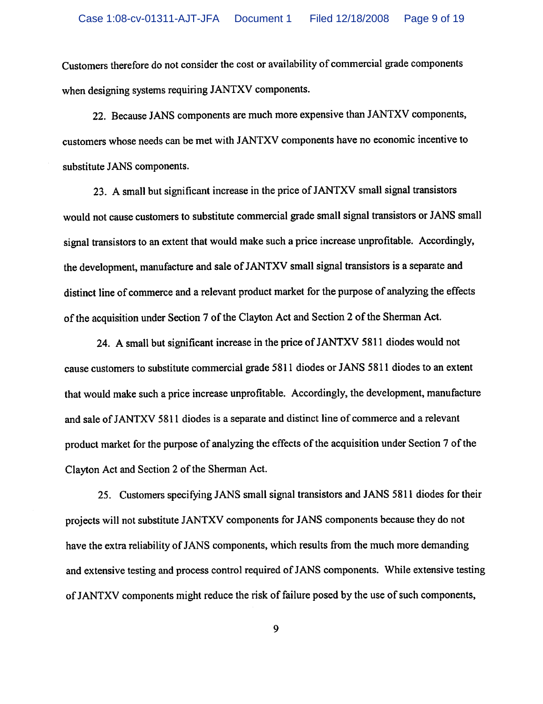Customers therefore do not consider the cost or availability of commercial grade components when designing systems requiring JANTXV components.

22. Because JANS components are much more expensive than JANTXV components, customers whose needs can be met with JANTXV components have no economic incentive to substitute JANS components.

23. A small but significant increase in the price of JANTXV small signal transistors would not cause customers to substitute commercial grade small signal transistors or JANS small signal transistors to an extent that would make such a price increase unprofitable. Accordingly, the development, manufacture and sale of JANTXV small signal transistors is a separate and distinct line of commerce and a relevant product market for the purpose of analyzing the effects of the acquisition under Section 7 of the Clayton Act and Section 2 of the Sherman Act.

24. A small but significant increase in the price of JANTXV 5811 diodes would not cause customers to substitute commercial grade 5811 diodes or JANS 5811 diodes to an extent that would make such a price increase unprofitable. Accordingly, the development, manufacture and sale of JANTXV 5811 diodes is a separate and distinct line of commerce and a relevant product market for the purpose of analyzing the effects of the acquisition under Section 7 of the Clayton Act and Section 2 of the Sherman Act.

25. Customers specifying JANS small signal transistors and JANS 5811 diodes for their projects will not substitute JANTXV components for JANS components because they do not have the extra reliability of JANS components, which results from the much more demanding and extensive testing and process control required of JANS components. While extensive testing of JANTXV components might reduce the risk of failure posed by the use of such components,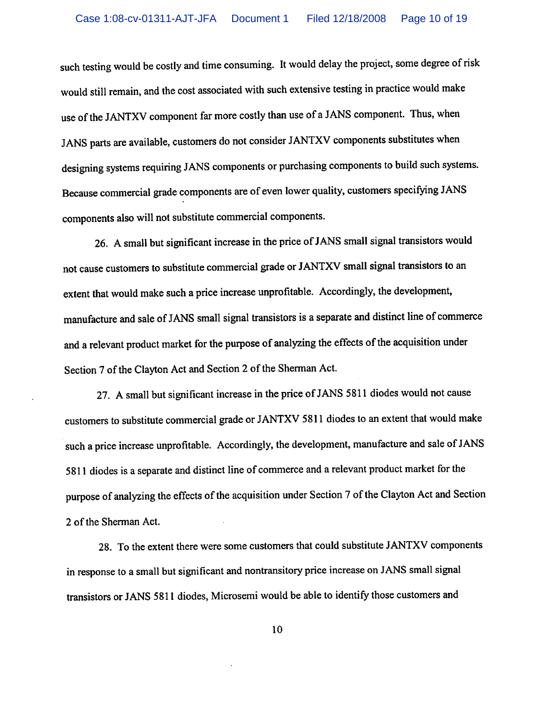such testing would be costly and time consuming. It would delay the project, some degree of risk would still remain, and the cost associated with such extensive testing in practice would make use of the JANTXV component far more costly than use of a JANS component. Thus, when JANS parts are available, customers do not consider JANTXV components substitutes when designing systems requiring JANS components or purchasing components to build such systems. Because commercial grade components are of even lower quality, customers specifying JANS components also will not substitute commercial components.

26. A small but significant increase in the price of JANS small signal transistors would not cause customers to substitute commercial grade or JANTXV small signal transistors to an extent that would make such a price increase unprofitable. Accordingly, the development, manufacture and sale of JANS small signal transistors is a separate and distinct line of commerce and a relevant product market for the purpose of analyzing the effects of the acquisition under Section 7 of the Clayton Act and Section 2 of the Sherman Act.

27. A small but significant increase in the price of JANS 5811 diodes would not cause customers to substitute commercial grade or JANTXV 5811 diodes to an extent that would make such a price increase unprofitable. Accordingly, the development, manufacture and sale of JANS 5811 diodes is a separate and distinct line of commerce and a relevant product market for the purpose of analyzing the effects of the acquisition under Section 7 of the Clayton Act and Section 2 of the Sherman Act.

28. To the extent there were some customers that could substitute JANTXV components in response to a small but significant and nontransitory price increase on JANS small signal transistors or JANS 5811 diodes, Microsemi would be able to identify those customers and

10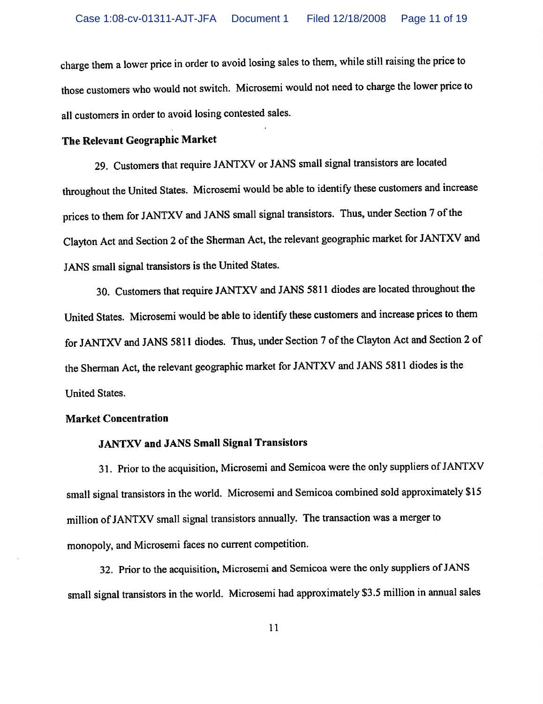charge them a lower price in order to avoid losing sales to them, while still raising the price to those customers who would not switch. Microsemi would not need to charge the lower price to all customers in order to avoid losing contested sales.

# The Relevant Geographic Market

29. Customers that require JANTXV or JANS small signal transistors are located throughout the United States. Microsemi would be able to identify these customers and increase prices to them for JANTXV and JANS small signal transistors. Thus, under Section 7 of the Clayton Act and Section 2 of the Sherman Act, the relevant geographic market for JANTXV and JANS small signal transistors is the United States.

30. Customers that require JANTXV and JANS 5811 diodes are located throughout the United States. Microsemi would be able to identify these customers and increase prices to them for JANTXV and JANS 5811 diodes. Thus, under Section 7 of the Clayton Act and Section 2 of the Sherman Act, the relevant geographic market for JANTXV and JANS 5811 diodes is the United States.

## Market Concentration

# JANTXV and JANS Small Signal Transistors

31. Prior to the acquisition, Microsemi and Semicoa were the only suppliers of JANTXV small signal transistors in the world. Microsemi and Semicoa combined sold approximately \$15 million of JANTXV small signal transistors annually. The transaction was a merger to monopoly, and Microsemi faces no current competition.

32. Prior to the acquisition, Microsemi and Semicoa were the only suppliers of JANS small signal transistors in the world. Microsemi had approximately \$3.5 million in annual sales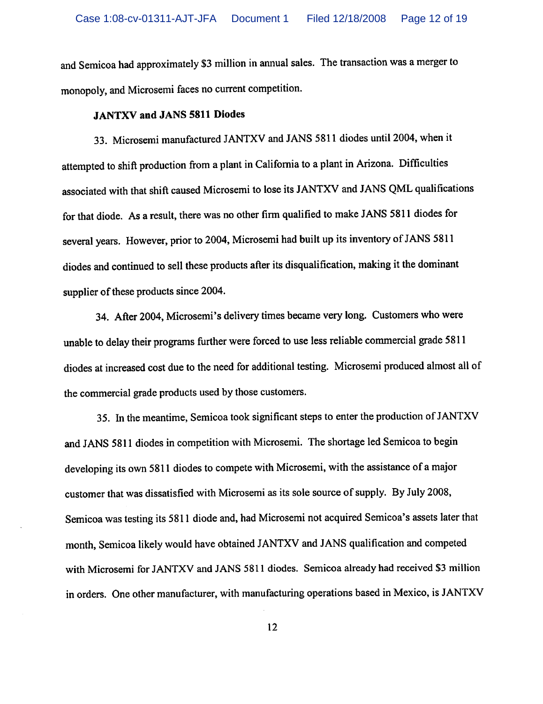and Semicoa had approximately \$3 million in annual sales. The transaction was a merger to monopoly, and Microsemi faces no current competition.

#### JANTXV and JANS 5811 Diodes

33. Microsemi manufactured JANTXV and JANS 5811 diodes until 2004, when it attempted to shift production from a plant in California to a plant in Arizona. Difficulties associated with that shift caused Microsemi to lose its JANTXV and JANS QML qualifications for that diode. As a result, there was no other firm qualified to make JANS 5811 diodes for several years. However, prior to 2004, Microsemi had built up its inventory of JANS 5811 diodes and continued to sell these products after its disqualification, making it the dominant supplier of these products since 2004.

34. After 2004, Microsemi's delivery times became very long. Customers who were unable to delay their programs further were forced to use less reliable commercial grade 5811 diodes at increased cost due to the need for additional testing. Microsemi produced almost all of the commercial grade products used by those customers.

35. In the meantime, Semicoa took significant steps to enter the production of JANTXV and JANS 5811 diodes in competition with Microsemi. The shortage led Semicoa to begin developing its own 5811 diodes to compete with Microsemi, with the assistance of a major customer that was dissatisfied with Microsemi as its sole source of supply. By July 2008, Semicoa was testing its 5811 diode and, had Microsemi not acquired Semicoa's assets later that month, Semicoa likely would have obtained JANTXV and JANS qualification and competed with Microsemi for JANTXV and JANS 5811 diodes. Semicoa already had received \$3 million in orders. One other manufacturer, with manufacturing operations based in Mexico, is JANTXV

12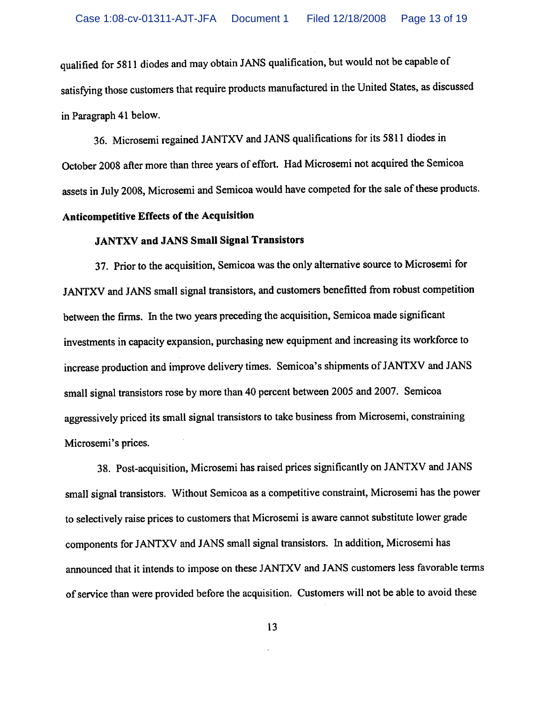qualified for 5811 diodes and may obtain JANS qualification, but would not be capable of satisfying those customers that require products manufactured in the United States, as discussed in Paragraph 41 below.

36. Microsemi regained JANTXV and JANS qualifications for its 5811 diodes in October 2008 after more than three years of effort. Had Microsemi not acquired the Semicoa assets in July 2008, Microsemi and Semicoa would have competed for the sale of these products.

# Anticompetitive Effects of the Acquisition

# JANTXV and JANS Small Signal Transistors

37. Prior to the acquisition, Semicoa was the only alternative source to Microsemi for JANTXV and JANS small signal transistors, and customers benefitted from robust competition between the firms. In the two years preceding the acquisition, Semicoa made significant investments in capacity expansion, purchasing new equipment and increasing its workforce to increase production and improve delivery times. Semicoa's shipments of JANTXV and JANS small signal transistors rose by more than 40 percent between 2005 and 2007. Semicoa aggressively priced its small signal transistors to take business from Microsemi, constraining Microsemi's prices.

38. Post-acquisition, Microsemi has raised prices significantly on JANTXV and JANS small signal transistors. Without Semicoa as a competitive constraint, Microsemi has the power to selectively raise prices to customers that Microsemi is aware cannot substitute lower grade components for JANTXV and JANS small signal transistors. In addition, Microsemi has announced that it intends to impose on these JANTXV and JANS customers less favorable terms of service than were provided before the acquisition. Customers will not be able to avoid these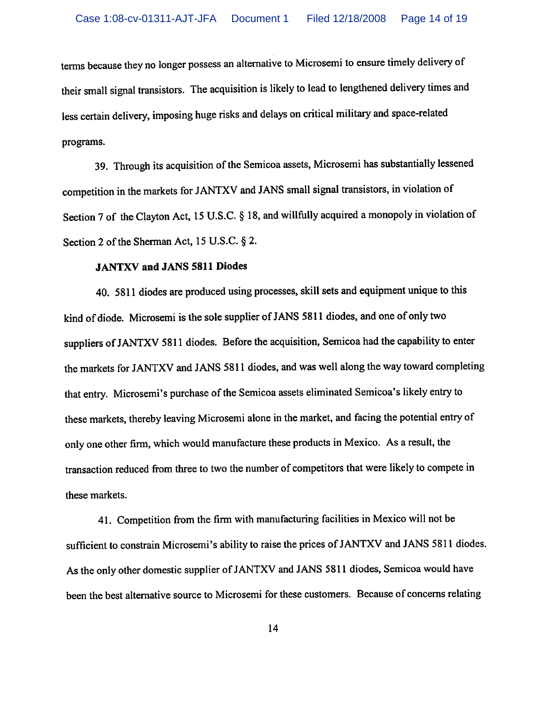terms because they no longer possess an alternative to Microsemi to ensure timely delivery of their small signal transistors. The acquisition is likely to lead to lengthened delivery times and less certain delivery, imposing huge risks and delays on critical military and space-related programs.

39. Through its acquisition of the Semicoa assets, Microsemi has substantially lessened competition in the markets for JANTXV and JANS small signal transistors, in violation of Section 7 of the Clayton Act, 15 U.S.C. § 18, and willfully acquired a monopoly in violation of Section 2 of the Sherman Act, 15 U.S.C. § 2.

#### JANTXV and JANS 5811 Diodes

40. 5811 diodes are produced using processes, skill sets and equipment unique to this kind of diode. Microsemi is the sole supplier of JANS 5811 diodes, and one of only two suppliers of JANTXV 5811 diodes. Before the acquisition, Semicoa had the capability to enter the markets for JANTXV and JANS 5811 diodes, and was well along the way toward completing that entry. Microsemi's purchase of the Semicoa assets eliminated Semicoa's likely entry to these markets, thereby leaving Microsemi alone in the market, and facing the potential entry of only one other firm, which would manufacture these products in Mexico. As a result, the transaction reduced from three to two the number of competitors that were likely to compete in these markets.

41. Competition from the firm with manufacturing facilities in Mexico will not be sufficient to constrain Microsemi's ability to raise the prices of JANTXV and JANS 5811 diodes. As the only other domestic supplier of JANTXV and JANS 5811 diodes, Semicoa would have been the best alternative source to Microsemi for these customers. Because of concerns relating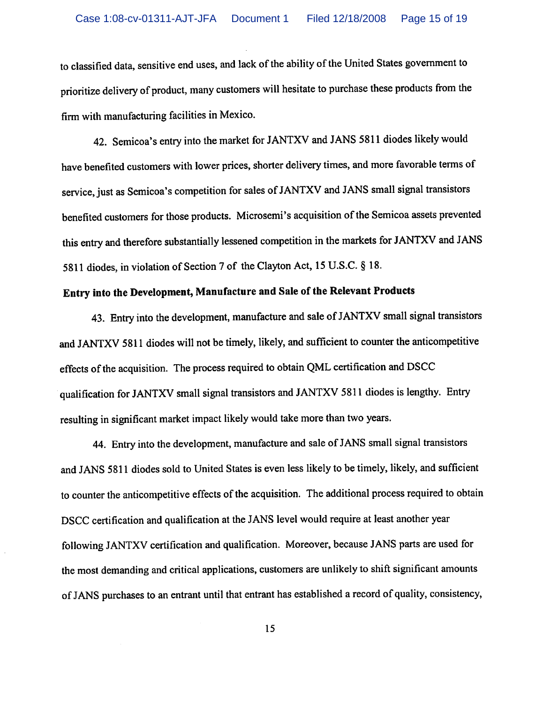to classified data, sensitive end uses, and lack of the ability of the United States government to prioritize delivery of product, many customers will hesitate to purchase these products from the firm with manufacturing facilities in Mexico.

42. Semicoa's entry into the market for JANTXV and JANS 5811 diodes likely would have benefited customers with lower prices, shorter delivery times, and more favorable terms of service, just as Semicoa's competition for sales of JANTXV and JANS small signal transistors benefited customers for those products. Microsemi's acquisition of the Semicoa assets prevented this entry and therefore substantially lessened competition in the markets for JANTXV and JANS 5811 diodes, in violation of Section 7 of the Clayton Act, 15 U.S.C. § 18.

# Entry into the Development, Manufacture and Sale of the Relevant Products

43. Entry into the development, manufacture and sale of JANTXV small signal transistors and JANTXV 5811 diodes will not be timely, likely, and sufficient to counter the anticompetitive effects of the acquisition. The process required to obtain QML certification and DSCC qualification for JANTXV small signal transistors and JANTXV 5811 diodes is lengthy. Entry resulting in significant market impact likely would take more than two years.

44. Entry into the development, manufacture and sale of JANS small signal transistors and JANS 5811 diodes sold to United States is even less likely to be timely, likely, and sufficient to counter the anticompetitive effects of the acquisition. The additional process required to obtain DSCC certification and qualification at the JANS level would require at least another year following JANTXV certification and qualification. Moreover, because JANS parts are used for the most demanding and critical applications, customers are unlikely to shift significant amounts of JANS purchases to an entrant until that entrant has established a record of quality, consistency,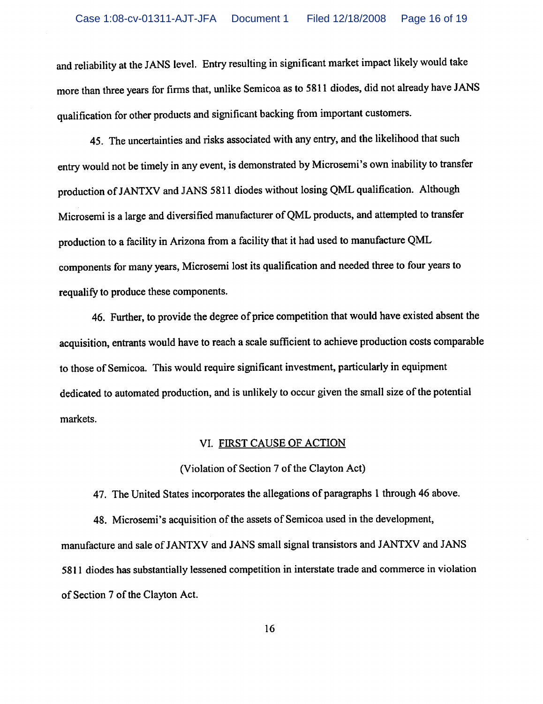and reliability at the JANS level. Entry resulting in significant market impact likely would take more than three years for firms that, unlike Semicoa as to 5811 diodes, did not already have JANS qualification for other products and significant backing from important customers.

45. The uncertainties and risks associated with any entry, and the likelihood that such entry would not be timely in any event, is demonstrated by Microsemi's own inability to transfer production of JANTXV and JANS 5811 diodes without losing QML qualification. Although Microsemi is a large and diversified manufacturer of QML products, and attempted to transfer production to a facility in Arizona from a facility that it had used to manufacture QML components for many years, Microsemi lost its qualification and needed three to four years to requalify to produce these components.

46. Further, to provide the degree of price competition that would have existed absent the acquisition, entrants would have to reach a scale sufficient to achieve production costs comparable to those of Semicoa. This would require significant investment, particularly in equipment dedicated to automated production, and is unlikely to occur given the small size of the potential markets.

# VI. FIRST CAUSE OF ACTION

(Violation of Section 7 of the Clayton Act)

47. The United States incorporates the allegations of paragraphs 1 through 46 above.

48. Microsemi's acquisition of the assets of Semicoa used in the development, manufacture and sale of JANTXV and JANS small signal transistors and JANTXV and JANS 5811 diodes has substantially lessened competition in interstate trade and commerce in violation of Section 7 of the Clayton Act.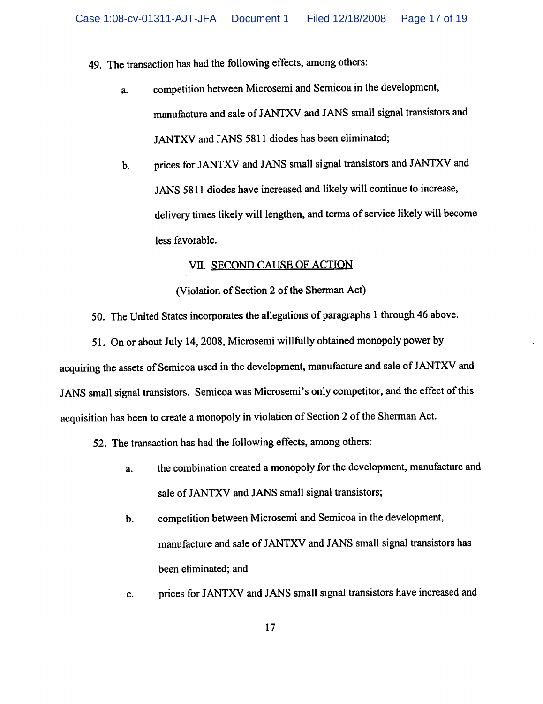49. The transaction has had the following effects, among others:

- a. competition between Microsemi and Semicoa in the development, manufacture and sale of JANTXV and JANS small signal transistors and JANTXV and JANS 5811 diodes has been eliminated;
- b. prices for JANTXV and JANS small signal transistors and JANTXV and JANS 5811 diodes have increased and likely will continue to increase, delivery times likely will lengthen, and terms of service likely will become less favorable.

## VII. SECOND CAUSE OF ACTION

(Violation of Section 2 of the Sherman Act)

50. The United States incorporates the allegations of paragraphs 1 through 46 above.

51. On or about July 14,2008, Microsemi willfully obtained monopoly power by acquiring the assets of Semicoa used in the development, manufacture and sale of JANTXV and JANS small signal transistors. Semicoa was Microsemi's only competitor, and the effect of this acquisition has been to create a monopoly in violation of Section 2 of the Sherman Act.

52. The transaction has had the following effects, among others:

- a. the combination created a monopoly for the development, manufacture and sale of JANTXV and JANS small signal transistors;
- b. competition between Microsemi and Semicoa in the development, manufacture and sale of JANTXV and JANS small signal transistors has been eliminated; and
- c. prices for JANTXV and JANS small signal transistors have increased and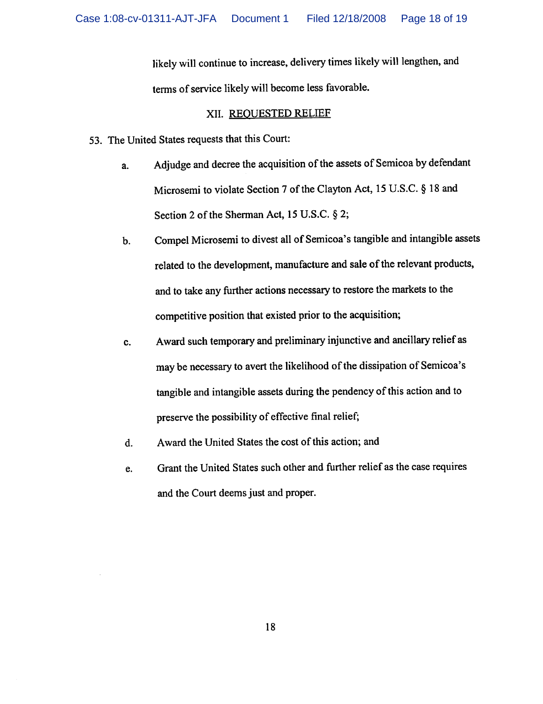likely will continue to increase, delivery times likely will lengthen, and terms of service likely will become less favorable.

## XII. REQUESTED RELIEF

- 53. The United States requests that this Court:
	- a. Adjudge and decree the acquisition of the assets of Semicoa by defendant Microsemi to violate Section 7 of the Clayton Act, 15 U.S.C. § 18 and Section 2 of the Sherman Act, 15 U.S.C. § 2;
	- b. Compel Microsemi to divest all of Semicoa's tangible and intangible assets related to the development, manufacture and sale of the relevant products, and to take any further actions necessary to restore the markets to the competitive position that existed prior to the acquisition;
	- c. Award such temporary and preliminary injunctive and ancillary relief as maybe necessary to avert the likelihood of the dissipation of Semicoa's tangible and intangible assets during the pendency of this action and to preserve the possibility of effective final relief;
	- d. Award the United States the cost of this action; and
	- e. Grant the United States such other and further relief as the case requires and the Court deems just and proper.